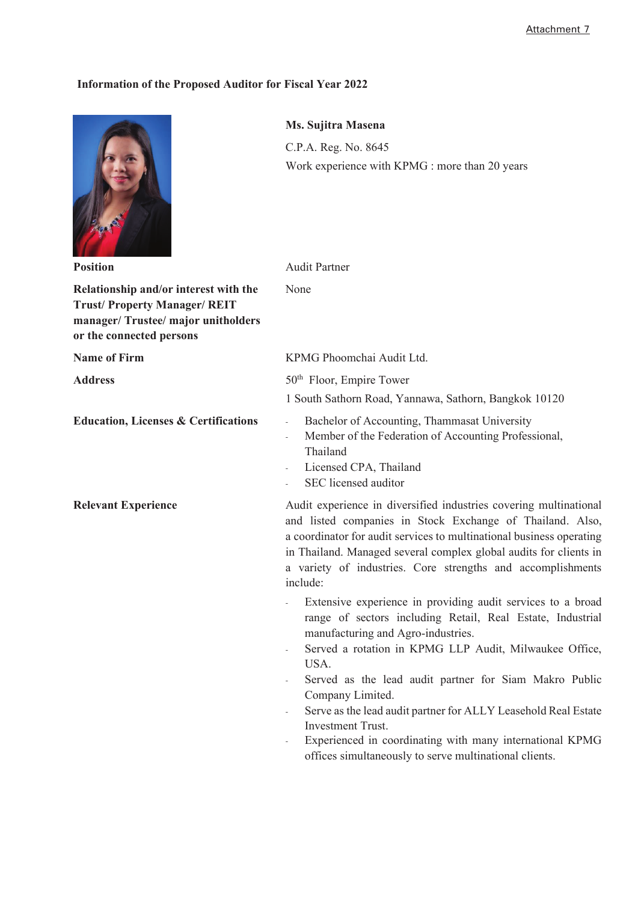## **Information of the Proposed Auditor for Fiscal Year 2022**

|                                                                                                                                              | Ms. Sujitra Masena                                                                                                                                                                                                                                                                                                                                                                                                                                                                                                                        |
|----------------------------------------------------------------------------------------------------------------------------------------------|-------------------------------------------------------------------------------------------------------------------------------------------------------------------------------------------------------------------------------------------------------------------------------------------------------------------------------------------------------------------------------------------------------------------------------------------------------------------------------------------------------------------------------------------|
|                                                                                                                                              | C.P.A. Reg. No. 8645<br>Work experience with KPMG : more than 20 years                                                                                                                                                                                                                                                                                                                                                                                                                                                                    |
| <b>Position</b>                                                                                                                              | <b>Audit Partner</b>                                                                                                                                                                                                                                                                                                                                                                                                                                                                                                                      |
| Relationship and/or interest with the<br><b>Trust/Property Manager/REIT</b><br>manager/Trustee/major unitholders<br>or the connected persons | None                                                                                                                                                                                                                                                                                                                                                                                                                                                                                                                                      |
| <b>Name of Firm</b>                                                                                                                          | KPMG Phoomchai Audit Ltd.                                                                                                                                                                                                                                                                                                                                                                                                                                                                                                                 |
| <b>Address</b>                                                                                                                               | 50 <sup>th</sup> Floor, Empire Tower                                                                                                                                                                                                                                                                                                                                                                                                                                                                                                      |
|                                                                                                                                              | 1 South Sathorn Road, Yannawa, Sathorn, Bangkok 10120                                                                                                                                                                                                                                                                                                                                                                                                                                                                                     |
| <b>Education, Licenses &amp; Certifications</b>                                                                                              | Bachelor of Accounting, Thammasat University<br>Member of the Federation of Accounting Professional,<br>Thailand<br>Licensed CPA, Thailand<br>SEC licensed auditor                                                                                                                                                                                                                                                                                                                                                                        |
| <b>Relevant Experience</b>                                                                                                                   | Audit experience in diversified industries covering multinational<br>and listed companies in Stock Exchange of Thailand. Also,<br>a coordinator for audit services to multinational business operating<br>in Thailand. Managed several complex global audits for clients in<br>a variety of industries. Core strengths and accomplishments<br>include:                                                                                                                                                                                    |
|                                                                                                                                              | Extensive experience in providing audit services to a broad<br>range of sectors including Retail, Real Estate, Industrial<br>manufacturing and Agro-industries.<br>Served a rotation in KPMG LLP Audit, Milwaukee Office,<br>USA.<br>Served as the lead audit partner for Siam Makro Public<br>Company Limited.<br>Serve as the lead audit partner for ALLY Leasehold Real Estate<br><b>Investment Trust.</b><br>Experienced in coordinating with many international KPMG<br>÷,<br>offices simultaneously to serve multinational clients. |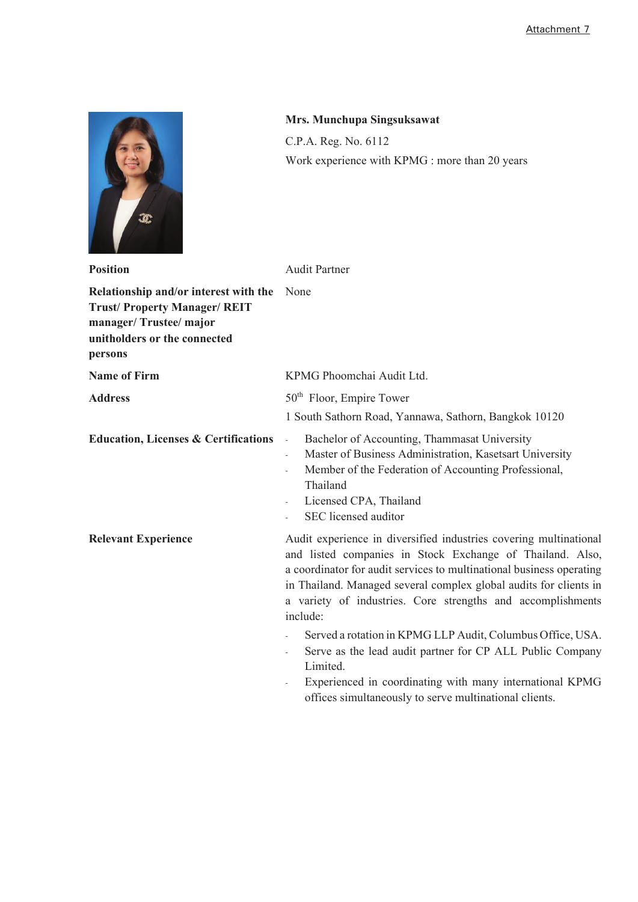

## **Mrs. Munchupa Singsuksawat**

C.P.A. Reg. No. 6112 Work experience with KPMG : more than 20 years

| <b>Position</b>                                                                                                                                 | <b>Audit Partner</b>                                                                                                                                                                                                                                                                                                                                   |
|-------------------------------------------------------------------------------------------------------------------------------------------------|--------------------------------------------------------------------------------------------------------------------------------------------------------------------------------------------------------------------------------------------------------------------------------------------------------------------------------------------------------|
| Relationship and/or interest with the<br><b>Trust/Property Manager/REIT</b><br>manager/Trustee/major<br>unitholders or the connected<br>persons | None                                                                                                                                                                                                                                                                                                                                                   |
| <b>Name of Firm</b>                                                                                                                             | KPMG Phoomchai Audit Ltd.                                                                                                                                                                                                                                                                                                                              |
| <b>Address</b>                                                                                                                                  | 50 <sup>th</sup> Floor, Empire Tower<br>1 South Sathorn Road, Yannawa, Sathorn, Bangkok 10120                                                                                                                                                                                                                                                          |
| <b>Education, Licenses &amp; Certifications</b>                                                                                                 | Bachelor of Accounting, Thammasat University<br>$\overline{\phantom{a}}$<br>Master of Business Administration, Kasetsart University<br>Member of the Federation of Accounting Professional,<br>Thailand<br>Licensed CPA, Thailand<br>SEC licensed auditor                                                                                              |
| <b>Relevant Experience</b>                                                                                                                      | Audit experience in diversified industries covering multinational<br>and listed companies in Stock Exchange of Thailand. Also,<br>a coordinator for audit services to multinational business operating<br>in Thailand. Managed several complex global audits for clients in<br>a variety of industries. Core strengths and accomplishments<br>include: |
|                                                                                                                                                 | Served a rotation in KPMG LLP Audit, Columbus Office, USA.<br>Serve as the lead audit partner for CP ALL Public Company<br>Limited.<br>Experienced in coordinating with many international KPMG<br>offices simultaneously to serve multinational clients.                                                                                              |